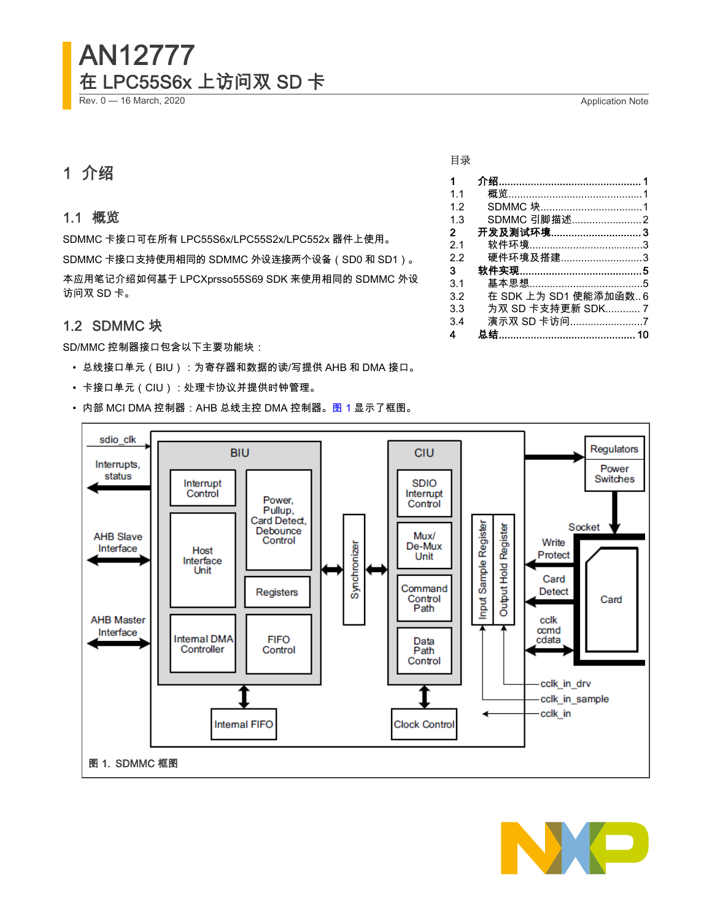## AN12777 在 LPC55S6x 上访问双 SD 卡 Rev. 0 — 16 March, 2020 **Application Note**

## 1 介绍

## 1.1 概览

SDMMC 卡接口可在所有 LPC55S6x/LPC55S2x/LPC552x 器件上使用。 SDMMC 卡接口支持使用相同的 SDMMC 外设连接两个设备(SD0 和 SD1)。 本应用笔记介绍如何基于 LPCXprsso55S69 SDK 来使用相同的 SDMMC 外设 访问双 SD 卡。

## 1.2 SDMMC 块

SD/MMC 控制器接口包含以下主要功能块:

- 总线接口单元(BIU):为寄存器和数据的读/写提供 AHB 和 DMA 接口。
- 卡接口单元(CIU):处理卡协议并提供时钟管理。
- 

#### • 内部 MCI DMA 控制器:AHB 总线主控 DMA 控制器。图 1 显示了框图。 sdio clk Regulators **BIU** CIU Interrupts, Power status Switches Interrupt **SDIO** Control Interrupt Power, Control Pullup, Card Detect. Socket Debounce **AHB Slave** Mux/ Control Write





#### 目录

| 1   | 介绍…………………………………………1  |
|-----|----------------------|
| 1.1 |                      |
| 12  | SDMMC 块……………………………1  |
| 1.3 | SDMMC 引脚描述2          |
| 2   | 开发及测试环境3             |
| 2.1 |                      |
| 22  | 硬件环境及搭建3             |
| 3   |                      |
| 3.1 |                      |
| 3.2 | 在 SDK 上为 SD1 使能添加函数6 |
| 3.3 | 为双 SD 卡支持更新 SDK7     |
| 3.4 | 演示双 SD 卡访问7          |
| 4   |                      |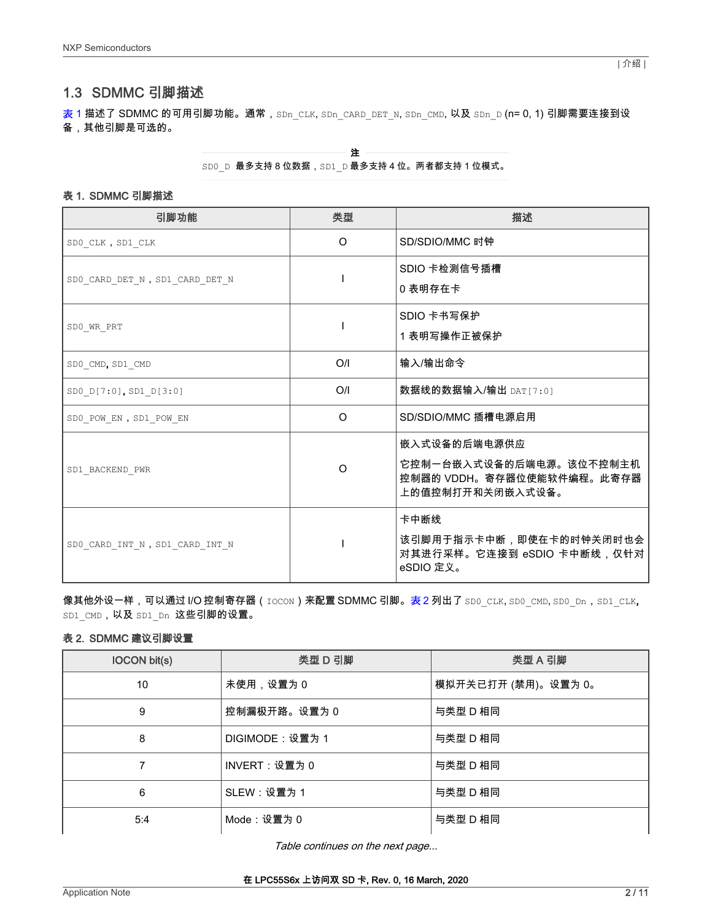## <span id="page-1-0"></span>1.3 SDMMC 引脚描述

表 1 描述了 SDMMC 的可用引脚功能。通常,SDn\_CLK, SDn\_CARD\_DET\_N, SDn\_CMD, 以及 SDn\_D (n= 0, 1) 引脚需要连接到设 备,其他引脚是可选的。

SD0\_D 最多支持 8 位数据, SD1\_D 最多支持 4 位。两者都支持 1 位模式。

#### 表 1. SDMMC 引脚描述

| 引脚功能                           | 类型       | 描述                                                                                       |
|--------------------------------|----------|------------------------------------------------------------------------------------------|
| SDO CLK, SD1 CLK               | $\Omega$ | SD/SDIO/MMC 时钟                                                                           |
| SDO CARD DET N, SD1 CARD DET N |          | SDIO 卡检测信号插槽<br>0 表明存在卡                                                                  |
| SDO WR PRT                     |          | SDIO 卡书写保护<br>1表明写操作正被保护                                                                 |
| SDO CMD, SD1 CMD               | O/I      | 输入/输出命令                                                                                  |
| SD0 D[7:0], SD1 D[3:0]         | O/I      | 数据线的数据输入/输出 DAT[7:0]                                                                     |
| SDO POW EN, SD1 POW EN         | $\circ$  | SD/SDIO/MMC 插槽电源启用                                                                       |
| SD1_BACKEND_PWR                | $\Omega$ | 嵌入式设备的后端电源供应<br>它控制一台嵌入式设备的后端电源。该位不控制主机<br>控制器的 VDDH。寄存器位使能软件编程。此寄存器<br>上的值控制打开和关闭嵌入式设备。 |
| SDO CARD INT N, SD1 CARD INT N |          | 卡中断线<br>该引脚用于指示卡中断,即使在卡的时钟关闭时也会<br>对其进行采样。它连接到 eSDIO 卡中断线,仅针对<br>eSDIO 定义。               |

像其他外设一样,可以通过 I/O 控制寄存器 ( IOCON ) 来配置 SDMMC 引脚。表 2 列出了 SD0\_CLK, SD0\_CMD, SD0\_Dn, SD1\_CLK, SD1\_CMD, 以及 SD1\_Dn 这些引脚的设置。

#### 表 2. SDMMC 建议引脚设置

| <b>IOCON bit(s)</b> | 类型 D 引脚         | 类型 A 引脚             |
|---------------------|-----------------|---------------------|
| 10                  | 未使用,设置为0        | 模拟开关已打开 (禁用)。设置为 0。 |
| 9                   | 控制漏极开路。设置为0     | 与类型 D 相同            |
| 8                   | DIGIMODE: 设置为 1 | 与类型 D 相同            |
| 7                   | INVERT:设置为 0    | 与类型 D 相同            |
| 6                   | SLEW: 设置为 1     | 与类型 D 相同            |
| 5:4                 | Mode:设置为 0      | 与类型 D 相同            |

Table continues on the next page...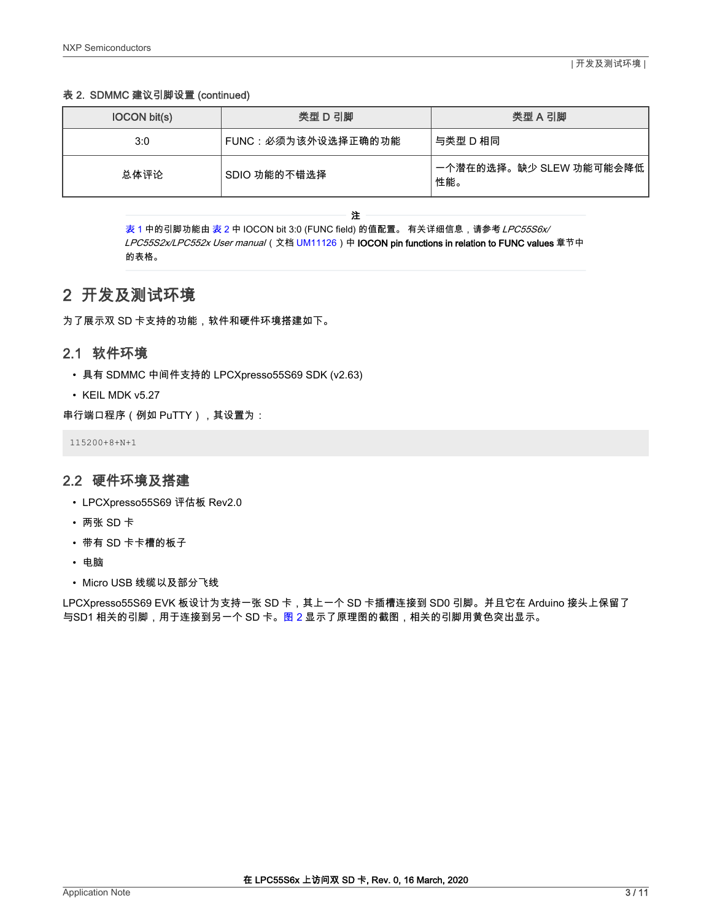#### <span id="page-2-0"></span>表 2. SDMMC 建议引脚设置 (continued)

| <b>IOCON bit(s)</b> | 类型 D 引脚             | 类型 A 引脚                          |
|---------------------|---------------------|----------------------------------|
| 3:0                 | 「FUNC:必须为该外设选择正确的功能 | 与类型 D 相同                         |
| 总体评论                | SDIO 功能的不错选择        | 一个潜在的选择。缺少 SLEW 功能可能会降低<br>" 性能。 |

注

[表](#page-1-0) 1 中的引脚功能由 表 2 中 IOCON bit 3:0 (FUNC field) 的值配置。 有关详细信息,请参考 LPC55S6x/ LPC55S2x/LPC552x User manual (文档 [UM11126\)](https://www.nxp.com/webapp/sps/download/preDownload.jsp?render=true)中 IOCON pin functions in relation to FUNC values 章节中 的表格。

## 2 开发及测试环境

为了展示双 SD 卡支持的功能,软件和硬件环境搭建如下。

## 2.1 软件环境

- 具有 SDMMC 中间件支持的 LPCXpresso55S69 SDK (v2.63)
- KEIL MDK v5.27

串行端口程序(例如 PuTTY),其设置为:

115200+8+N+1

### 2.2 硬件环境及搭建

- LPCXpresso55S69 评估板 Rev2.0
- 两张 SD 卡
- 带有 SD 卡卡槽的板子
- 电脑
- Micro USB 线缆以及部分飞线

LPCXpresso55S69 EVK 板设计为支持一张 SD 卡,其上一个 SD 卡插槽连接到 SD0 引脚。并且它在 Arduino 接头上保留了 与SD1 相关的引脚,用于连接到另一个 SD 卡。[图 2](#page-3-0) 显示了原理图的截图,相关的引脚用黄色突出显示。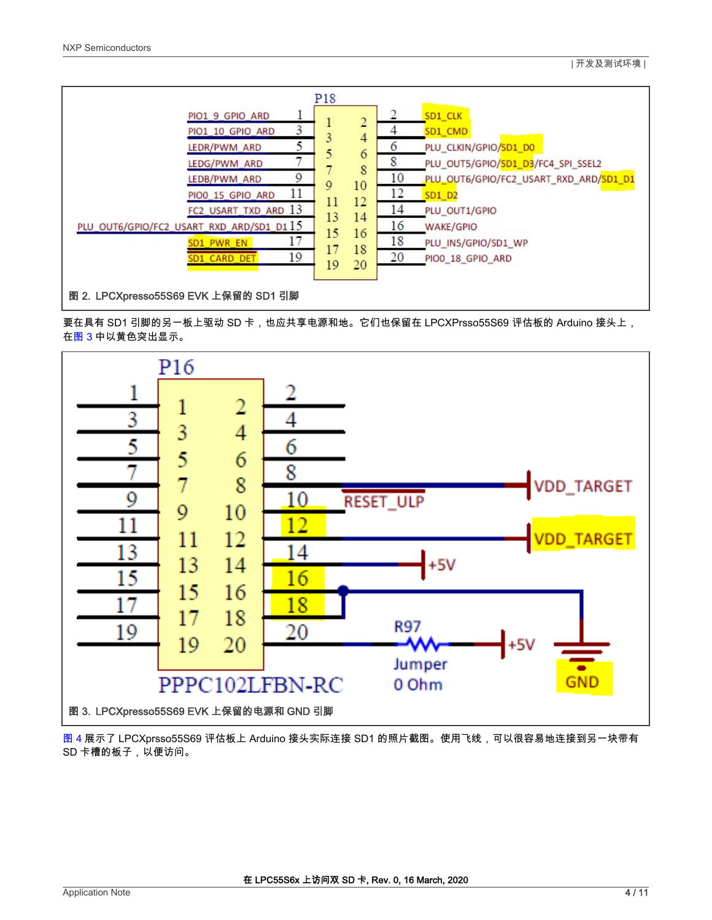<span id="page-3-0"></span>

| PIO1 9 GPIO ARD<br>3<br>PIO1 10 GPIO ARD<br>5<br>LEDR/PWM_ARD<br>LEDG/PWM ARD<br>9<br>LEDB/PWM_ARD<br>11<br>PIO0 15 GPIO ARD<br>FC2_USART_TXD_ARD_13 | P <sub>18</sub><br>$\overline{2}$<br>3<br>4<br>6<br>8<br>10<br>9<br>12<br>11 | 4<br>6<br>8<br>10<br>12<br>14 | SD1 CLK<br>SD1 CMD<br>PLU_CLKIN/GPIO/SD1_D0<br>PLU_OUT5/GPIO/SD1_D3/FC4_SPI_SSEL2<br>PLU_OUT6/GPIO/FC2_USART_RXD_ARD/SD1_D1<br>SD1 D2<br>PLU_OUT1/GPIO |
|------------------------------------------------------------------------------------------------------------------------------------------------------|------------------------------------------------------------------------------|-------------------------------|--------------------------------------------------------------------------------------------------------------------------------------------------------|
| PLU_OUT6/GPIO/FC2_USART_RXD_ARD/SD1_D1 15<br>17<br>SD1 PWR EN<br>19<br><b>CARD DE</b>                                                                | 13<br>14<br>15<br>16<br>18<br>17<br>20<br>19                                 | 16<br>18<br>20                | WAKE/GPIO<br>PLU_IN5/GPIO/SD1_WP<br>PIO0 18 GPIO ARD                                                                                                   |
| 图 2. LPCXpresso55S69 EVK 上保留的 SD1 引脚                                                                                                                 |                                                                              |                               |                                                                                                                                                        |

要在具有 SD1 引脚的另一板上驱动 SD 卡,也应共享电源和地。它们也保留在 LPCXPrsso55S69 评估板的 Arduino 接头上, 在图 3 中以黄色突出显示。



[图 4](#page-4-0) 展示了 LPCXprsso55S69 评估板上 Arduino 接头实际连接 SD1 的照片截图。使用飞线,可以很容易地连接到另一块带有 SD 卡槽的板子,以便访问。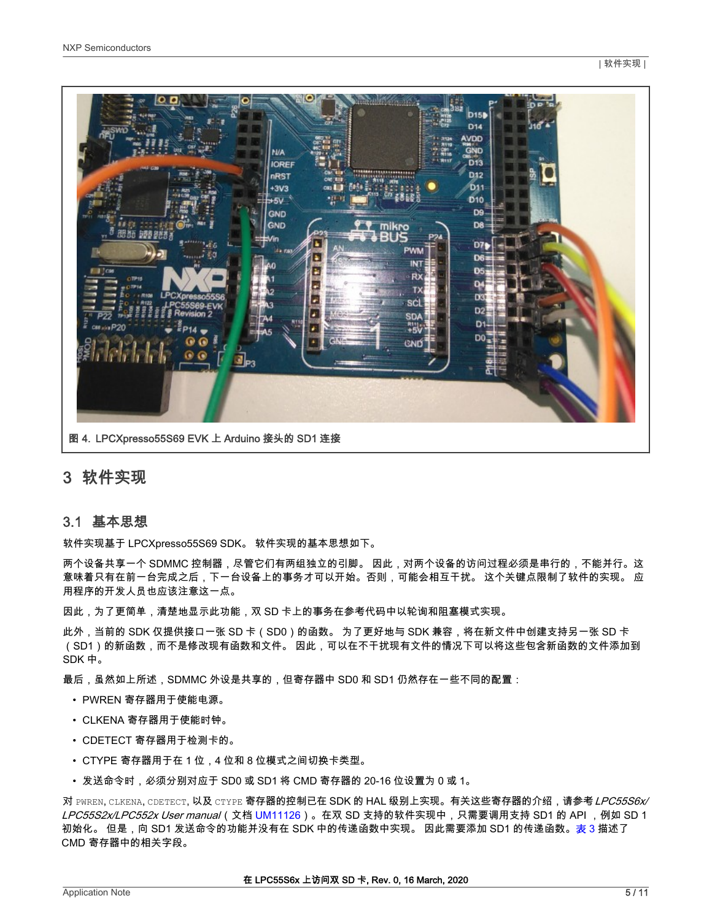<span id="page-4-0"></span>

## 3 软件实现

## 3.1 基本思想

软件实现基于 LPCXpresso55S69 SDK。 软件实现的基本思想如下。

两个设备共享一个 SDMMC 控制器,尽管它们有两组独立的引脚。 因此,对两个设备的访问过程必须是串行的,不能并行。这 意味着只有在前一台完成之后,下一台设备上的事务才可以开始。否则,可能会相互干扰。 这个关键点限制了软件的实现。 应 用程序的开发人员也应该注意这一点。

因此,为了更简单,清楚地显示此功能,双 SD 卡上的事务在参考代码中以轮询和阻塞模式实现。

此外,当前的 SDK 仅提供接口一张 SD 卡(SD0)的函数。 为了更好地与 SDK 兼容,将在新文件中创建支持另一张 SD 卡 (SD1)的新函数,而不是修改现有函数和文件。 因此,可以在不干扰现有文件的情况下可以将这些包含新函数的文件添加到 SDK 中。

最后,虽然如上所述,SDMMC 外设是共享的,但寄存器中 SD0 和 SD1 仍然存在一些不同的配置:

- PWREN 寄存器用于使能电源。
- CLKENA 寄存器用于使能时钟。
- CDETECT 寄存器用于检测卡的。
- CTYPE 寄存器用于在 1 位,4 位和 8 位模式之间切换卡类型。
- 发送命令时,必须分别对应于 SD0 或 SD1 将 CMD 寄存器的 20-16 位设置为 0 或 1。

对 PWREN, CLKENA, CDETECT, 以及 CTYPE 寄存器的控制已在 SDK 的 HAL 级别上实现。有关这些寄存器的介绍,请参考 LPC55S6x/ *LPC55S2x/LPC552x User manual*(文档 [UM11126\)](https://www.nxp.com/webapp/sps/download/preDownload.jsp?render=true)。在双 SD 支持的软件实现中,只需要调用支持 SD1 的 API ,例如 SD 1 初始化。 但是,向 SD1 发送命令的功能并没有在 SDK 中的传递函数中实现。 因此需要添加 SD1 的传递函数。[表](#page-5-0) 3 描述了 CMD 寄存器中的相关字段。

在 LPC55S6x 上访问双 SD 卡, Rev. 0, 16 March, 2020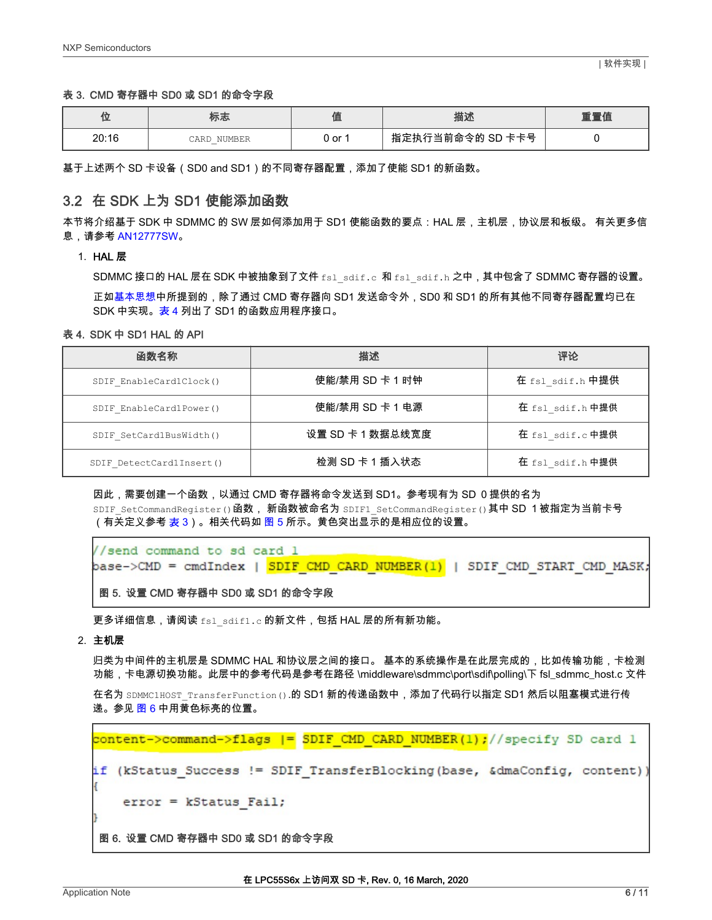#### <span id="page-5-0"></span>表 3. CMD 寄存器中 SD0 或 SD1 的命令字段

|       | 怀心     | v      | 描述               | 「置值 |
|-------|--------|--------|------------------|-----|
| 20:16 | NUMBER | 0 or 1 | 指定执行当前命令的 SD 卡卡号 |     |

基于上述两个 SD 卡设备(SD0 and SD1)的不同寄存器配置,添加了使能 SD1 的新函数。

### 3.2 在 SDK 上为 SD1 使能添加函数

本节将介绍基于 SDK 中 SDMMC 的 SW 层如何添加用于 SD1 使能函数的要点:HAL 层,主机层,协议层和板级。 有关更多信 息,请参考 [AN12777SW](https://www.nxp.com/docs/en/application-note-software/AN12777SW.zip)。

1. HAL 层

SDMMC 接口的 HAL 层在 SDK 中被抽象到了文件 fsl\_sdif.c 和 fsl\_sdif.h 之中,其中包含了 SDMMC 寄存器的设置。 正[如基本思想](#page-4-0)中所提到的,除了通过 CMD 寄存器向 SD1 发送命令外,SD0 和 SD1 的所有其他不同寄存器配置均已在 SDK 中实现。表 4 列出了 SD1 的函数应用程序接口。

#### 表 4. SDK 中 SD1 HAL 的 API

| 函数名称                     | 描述               | 评论               |
|--------------------------|------------------|------------------|
| SDIF EnableCard1Clock()  | 使能/禁用 SD 卡 1 时钟  | 在 fsl sdif.h 中提供 |
| SDIF EnableCard1Power()  | 使能/禁用 SD 卡 1 电源  | 在 fsl sdif.h中提供  |
| SDIF SetCard1BusWidth()  | 设置 SD 卡 1 数据总线宽度 | 在 fsl sdif.c中提供  |
| SDIF DetectCardlInsert() | 检测 SD 卡 1 插入状态   | 在 fsl sdif.h 中提供 |

因此,需要创建一个函数,以通过 CMD 寄存器将命令发送到 SD1。参考现有为 SD 0提供的名为 SDIF\_SetCommandRegister()函数, 新函数被命名为 SDIF1\_SetCommandRegister()其中 SD 1被指定为当前卡号 (有关定义参考 <mark>表 3</mark>)。相关代码如 <mark>图</mark> 5 所示。黄色突出显示的是相应位的设置。

//send command to sd card 1 base->CMD = cmdIndex | <mark>SDIF CMD CARD NUMBER(1)</mark> | SDIF CMD START CMD MASK;

图 5. 设置 CMD 寄存器中 SD0 或 SD1 的命令字段

更多详细信息,请阅读 fsl\_sdif1.c 的新文件,包括 HAL 层的所有新功能。

#### 2. 主机层

归类为中间件的主机层是 SDMMC HAL 和协议层之间的接口。 基本的系统操作是在此层完成的,比如传输功能,卡检测 功能,卡电源切换功能。此层中的参考代码是参考在路径 \middleware\sdmmc\port\sdif\polling\下 fsl\_sdmmc\_host.c 文件

在名为 SDMMC1HOST\_TransferFunction().的 SD1 新的传递函数中,添加了代码行以指定 SD1 然后以阻塞模式进行传 递。参见 图 6 中用黄色标亮的位置。

content->command->flags |= SDIF CMD CARD NUMBER(1);//specify SD card 1

if (kStatus Success != SDIF TransferBlocking(base, &dmaConfig, content))

error = kStatus Fail;

图 6. 设置 CMD 寄存器中 SD0 或 SD1 的命令字段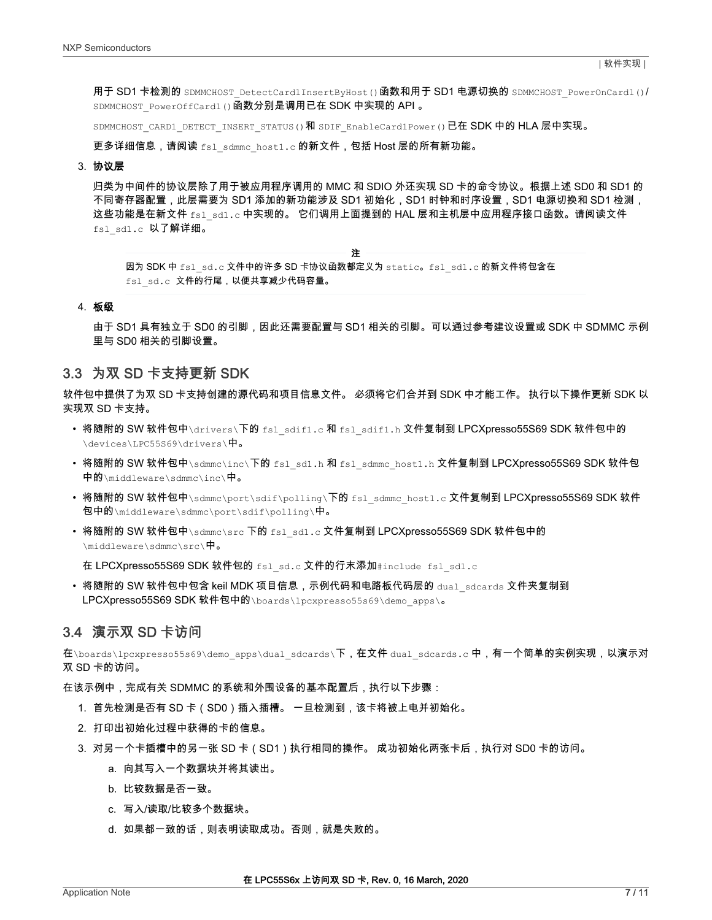<span id="page-6-0"></span>用于 SD1 卡检测的 SDMMCHOST\_DetectCard1InsertByHost()函数和用于 SD1 电源切换的 SDMMCHOST\_PowerOnCard1()/ SDMMCHOST\_PowerOffCard1()函数分别是调用已在 SDK 中实现的 API 。

SDMMCHOST CARD1\_DETECT\_INSERT\_STATUS()和 SDIF\_EnableCard1Power()已在 SDK 中的 HLA 层中实现。

更多详细信息,请阅读 fsl\_sdmmc\_host1.c 的新文件,包括 Host 层的所有新功能。

#### 3. 协议层

归类为中间件的协议层除了用于被应用程序调用的 MMC 和 SDIO 外还实现 SD 卡的命令协议。根据上述 SD0 和 SD1 的 不同寄存器配置,此层需要为 SD1 添加的新功能涉及 SD1 初始化,SD1 时钟和时序设置,SD1 电源切换和 SD1 检测, 这些功能是在新文件 fsl\_sd1.c 中实现的。 它们调用上面提到的 HAL 层和主机层中应用程序接口函数。请阅读文件 fsl sd1.c 以了解详细。

注

因为 SDK 中 fsl\_sd.c 文件中的许多 SD 卡协议函数都定义为 static。fsl\_sd1.c 的新文件将包含在 fsl sd.c 文件的行尾,以便共享减少代码容量。

#### 4. 板级

由于 SD1 具有独立于 SD0 的引脚,因此还需要配置与 SD1 相关的引脚。可以通过参考建议设置或 SDK 中 SDMMC 示例 里与 SD0 相关的引脚设置。

## 3.3 为双 SD 卡支持更新 SDK

软件包中提供了为双 SD 卡支持创建的源代码和项目信息文件。 必须将它们合并到 SDK 中才能工作。 执行以下操作更新 SDK 以 实现双 SD 卡支持。

- 将随附的 SW 软件包中\drivers\下的 fsl\_sdif1.c 和 fsl\_sdif1.h 文件复制到 LPCXpresso55S69 SDK 软件包中的 \devices\LPC55S69\drivers\中。
- 将随附的 SW 软件包中\sdmmc\inc\下的 fsl\_sd1.h 和 fsl\_sdmmc\_host1.h 文件复制到 LPCXpresso55S69 SDK 软件包 中的\middleware\sdmmc\inc\中。
- 将随附的 SW 软件包中\sdmmc\port\sdif\polling\下的 fsl\_sdmmc\_host1.c 文件复制到 LPCXpresso55S69 SDK 软件 包中的\middleware\sdmmc\port\sdif\polling\中。
- 将随附的 SW 软件包中\sdmmc\src 下的 fsl\_sd1.c 文件复制到 LPCXpresso55S69 SDK 软件包中的 \middleware\sdmmc\src\中。

在 LPCXpresso55S69 SDK 软件包的 fsl\_sd.c 文件的行末添加#include fsl\_sd1.c

• 将随附的 SW 软件包中包含 keil MDK 项目信息,示例代码和电路板代码层的 dual\_sdcards 文件夹复制到 LPCXpresso55S69 SDK 软件包中的\boards\lpcxpresso55s69\demo\_apps\。

#### 3.4 演示双 SD 卡访问

在\boards\lpcxpresso55s69\demo\_apps\dual\_sdcards\下,在文件 dual\_sdcards.c 中,有一个简单的实例实现, 以演示对 双 SD 卡的访问。

在该示例中,完成有关 SDMMC 的系统和外围设备的基本配置后,执行以下步骤:

- 1. 首先检测是否有 SD 卡(SD0)插入插槽。 一旦检测到,该卡将被上电并初始化。
- 2. 打印出初始化过程中获得的卡的信息。
- 3. 对另一个卡插槽中的另一张 SD 卡(SD1)执行相同的操作。 成功初始化两张卡后,执行对 SD0 卡的访问。
	- a. 向其写入一个数据块并将其读出。
	- b. 比较数据是否一致。
	- c. 写入/读取/比较多个数据块。
	- d. 如果都一致的话,则表明读取成功。否则,就是失败的。

在 LPC55S6x 上访问双 SD 卡, Rev. 0, 16 March, 2020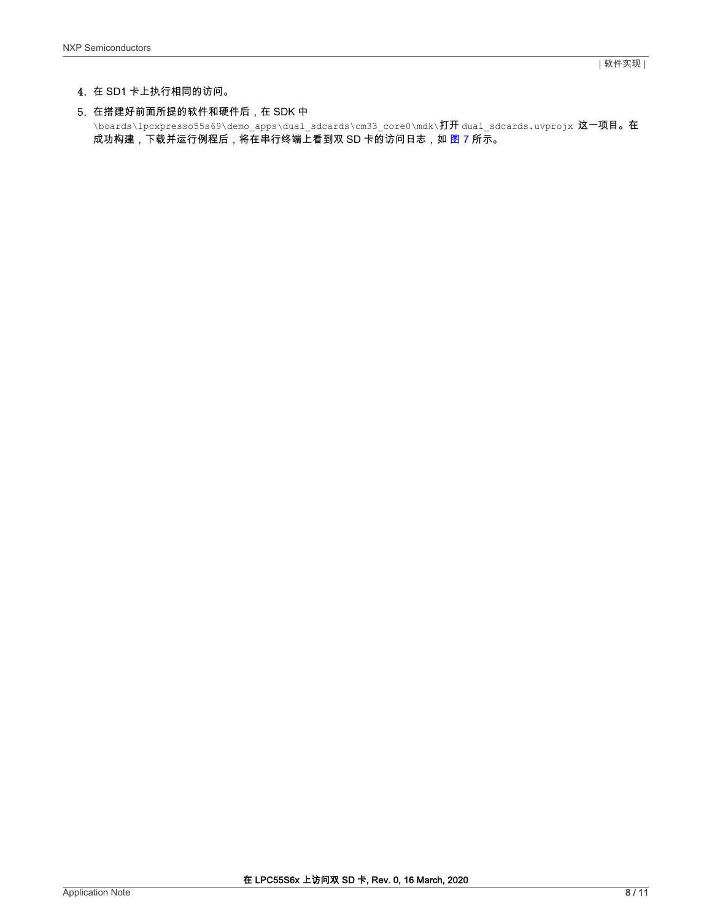- 4. 在 SD1 卡上执行相同的访问。
- 5. 在搭建好前面所提的软件和硬件后,在 SDK 中 \boards\lpcxpresso55s69\demo\_apps\dual\_sdcards\cm33\_core0\mdk\打开 dual\_sdcards.uvprojx 这一项目。在 成功构建,下载并运行例程后,将在串行终端上看到双 SD 卡的访问日志,如 [图 7](#page-8-0) 所示。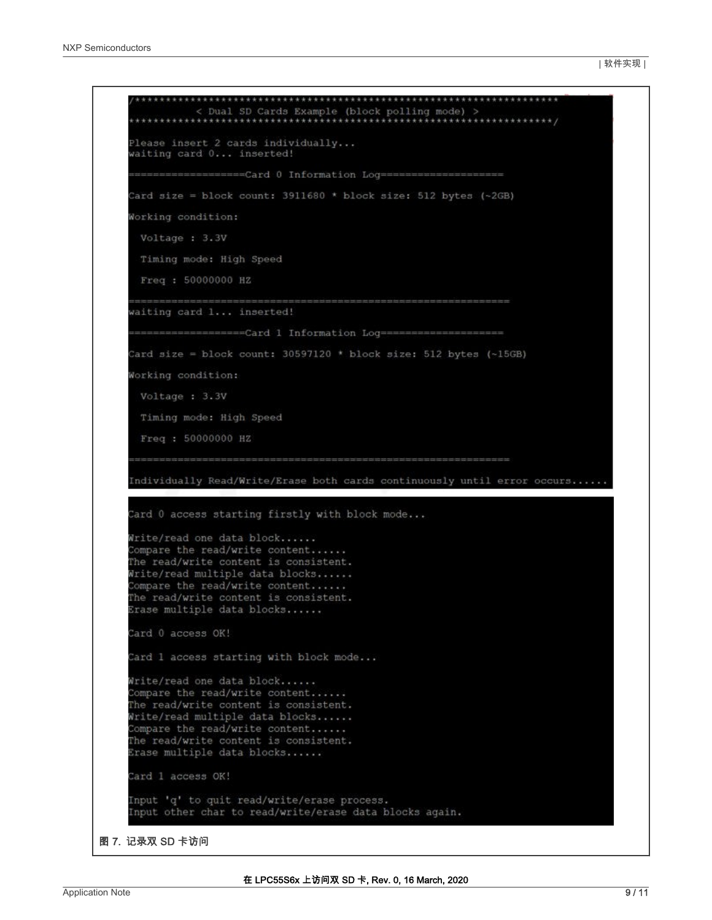```
< Dual SD Cards Example (block polling mode) >
     Please insert 2 cards individually...
    waiting card 0... inserted!
     =================Card 0 Information Log=====================
    Card size = block count: 3911680 * block size: 512 bytes (~2GB)
    Working condition:
     Voltage : 3.3V
     Timing mode: High Speed
     Freq : 50000000 HZ
                             waiting card 1... inserted!
         ==============Card 1 Information Log =====================
    Card size = block count: 30597120 * block size: 512 bytes (~15GB)
    Working condition:
     Voltage : 3.3V
      Timing mode: High Speed
     Freq : 50000000 HZ
    Individually Read/Write/Erase both cards continuously until error occurs......
    Card 0 access starting firstly with block mode...
    Write/read one data block......
    Compare the read/write content......
    The read/write content is consistent.
    Write/read multiple data blocks......
    Compare the read/write content......
    The read/write content is consistent.
    Erase multiple data blocks......
    Card 0 access OK!
    Card 1 access starting with block mode...
    Write/read one data block......
    Compare the read/write content......
    The read/write content is consistent.
    Write/read multiple data blocks......
    Compare the read/write content......
    The read/write content is consistent.
    Erase multiple data blocks......
    Card 1 access OK!
    Input 'q' to quit read/write/erase process.
    Input other char to read/write/erase data blocks again.
图 7. 记录双 SD 卡访问
```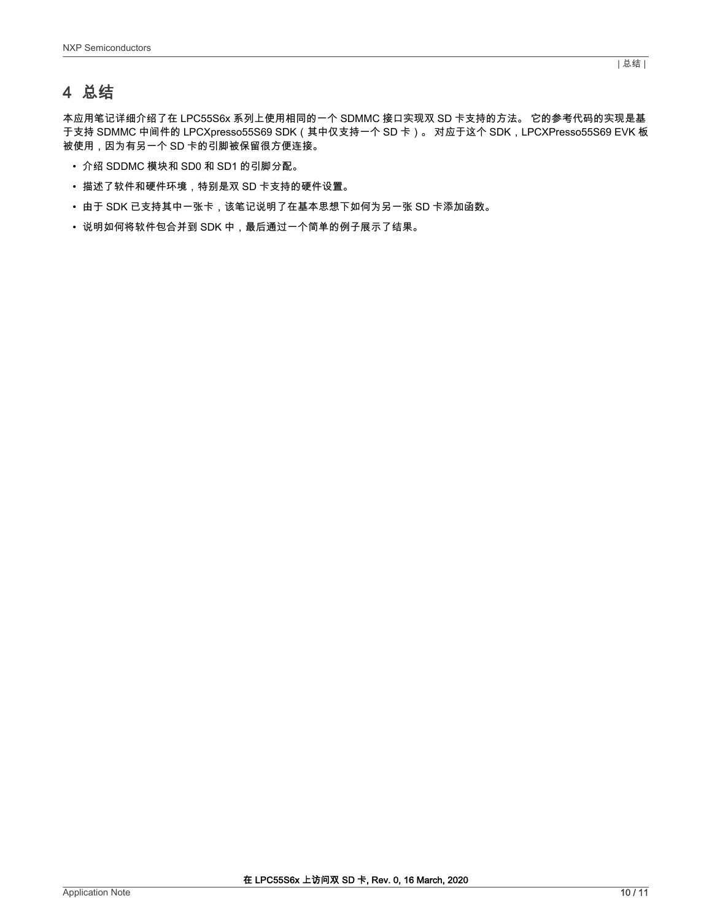## <span id="page-9-0"></span>4 总结

本应用笔记详细介绍了在 LPC55S6x 系列上使用相同的一个 SDMMC 接口实现双 SD 卡支持的方法。 它的参考代码的实现是基 于支持 SDMMC 中间件的 LPCXpresso55S69 SDK(其中仅支持一个 SD 卡)。 对应于这个 SDK,LPCXPresso55S69 EVK 板 被使用,因为有另一个 SD 卡的引脚被保留很方便连接。

- 介绍 SDDMC 模块和 SD0 和 SD1 的引脚分配。
- 描述了软件和硬件环境,特别是双 SD 卡支持的硬件设置。
- 由于 SDK 已支持其中一张卡,该笔记说明了在基本思想下如何为另一张 SD 卡添加函数。
- 说明如何将软件包合并到 SDK 中,最后通过一个简单的例子展示了结果。